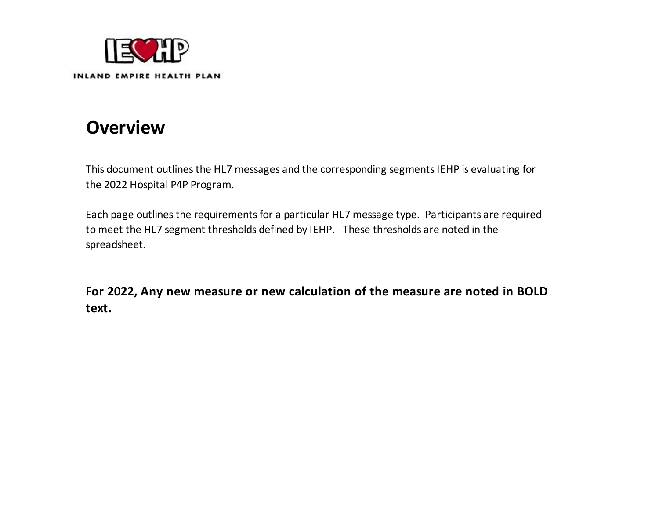

INLAND EMPIRE HEALTH PLAN

# **Overview**

This document outlines the HL7 messages and the corresponding segments IEHP is evaluating for the 2022 Hospital P4P Program.

Each page outlines the requirements for a particular HL7 message type. Participants are required to meet the HL7 segment thresholds defined by IEHP. These thresholds are noted in the spreadsheet.

**For 2022, Any new measure or new calculation of the measure are noted in BOLD text.**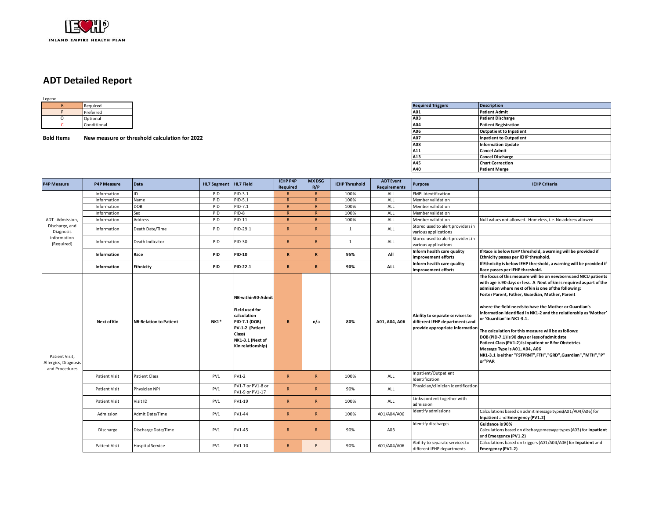

### **ADT Detailed Report**

| Legend |           |
|--------|-----------|
|        | Required  |
|        | Preferred |
|        | Optional  |

**Bold Items New measure or threshold calculation for 2022** 

|     | Required    |                                               | <b>Required Triggers</b> | <b>Description</b>             |
|-----|-------------|-----------------------------------------------|--------------------------|--------------------------------|
|     | Preferred   |                                               | A01                      | <b>Patient Admit</b>           |
|     | Optional    |                                               | A03                      | <b>Patient Discharge</b>       |
|     | Conditional |                                               | A04                      | <b>Patient Registration</b>    |
|     |             |                                               | A06                      | <b>Outpatient to Inpatient</b> |
| ems |             | New measure or threshold calculation for 2022 | <b>A07</b>               | <b>Inpatient to Outpatient</b> |
|     |             |                                               | A08                      | <b>Information Update</b>      |
|     |             |                                               | A11                      | <b>Cancel Admit</b>            |
|     |             |                                               | A13                      | <b>Cancel Discharge</b>        |
|     |             |                                               | A45                      | <b>Chart Correction</b>        |
|     |             |                                               | A40                      | <b>Patient Merge</b>           |

| <b>P4P Measure</b>                                       | <b>P4P Measure</b>   | Data                          | <b>HL7 Segment</b> | HL7 Field                                                                                                                                        | <b>IEHP P4P</b><br>Required | <b>MX DSG</b><br>R/P | <b>IEHP Threshold</b> | <b>ADT</b> Event<br><b>Requirements</b> | Purpose                                                                                              | <b>IEHP Criteria</b>                                                                                                                                                                                                                                                                                                                                                                                                                                                                                                                                                                                                                                                                             |
|----------------------------------------------------------|----------------------|-------------------------------|--------------------|--------------------------------------------------------------------------------------------------------------------------------------------------|-----------------------------|----------------------|-----------------------|-----------------------------------------|------------------------------------------------------------------------------------------------------|--------------------------------------------------------------------------------------------------------------------------------------------------------------------------------------------------------------------------------------------------------------------------------------------------------------------------------------------------------------------------------------------------------------------------------------------------------------------------------------------------------------------------------------------------------------------------------------------------------------------------------------------------------------------------------------------------|
|                                                          | Information          | ID                            | PID                | $91D-3.1$                                                                                                                                        | $\mathsf{R}$                | $\mathsf{R}$         | 100%                  | ALL                                     | <b>EMPI Identification</b>                                                                           |                                                                                                                                                                                                                                                                                                                                                                                                                                                                                                                                                                                                                                                                                                  |
|                                                          | Information          | Name                          | PID                | PID-5.1                                                                                                                                          | $\mathsf{R}$                | $\mathsf{R}$         | 100%                  | ALL                                     | Member validation                                                                                    |                                                                                                                                                                                                                                                                                                                                                                                                                                                                                                                                                                                                                                                                                                  |
|                                                          | Information          | <b>DOB</b>                    | PID                | PID-7.1                                                                                                                                          | $\mathsf{R}$                | $\mathsf{R}$         | 100%                  | ALL                                     | Member validation                                                                                    |                                                                                                                                                                                                                                                                                                                                                                                                                                                                                                                                                                                                                                                                                                  |
|                                                          | Information          | Sex                           | PID                | $PID-8$                                                                                                                                          | $\mathsf{R}$                | $\mathsf{R}$         | 100%                  | ALL                                     | Member validation                                                                                    |                                                                                                                                                                                                                                                                                                                                                                                                                                                                                                                                                                                                                                                                                                  |
| ADT-Admission,                                           | Information          | Address                       | PID                | PID-11                                                                                                                                           | $\mathbf R$                 | $\mathsf{R}$         | 100%                  | ALL                                     | Member validation                                                                                    | Null values not allowed. Homeless, i.e. No address allowed                                                                                                                                                                                                                                                                                                                                                                                                                                                                                                                                                                                                                                       |
| Discharge, and<br>Diagnosis                              | Information          | Death Date/Time               | PID                | PID-29.1                                                                                                                                         | R                           | $\mathsf{R}$         | $\mathbf{1}$          | ALL                                     | Stored used to alert providers in<br>various applications                                            |                                                                                                                                                                                                                                                                                                                                                                                                                                                                                                                                                                                                                                                                                                  |
| information<br>(Required)                                | Information          | Death Indicator               | PID                | PID-30                                                                                                                                           | $\mathsf{R}$                | $\mathsf{R}$         | $\mathbf{1}$          | ALL                                     | Stored used to alert providers in<br>various applications                                            |                                                                                                                                                                                                                                                                                                                                                                                                                                                                                                                                                                                                                                                                                                  |
|                                                          | Information          | Race                          | PID                | <b>PID-10</b>                                                                                                                                    | $\mathbb{R}$                | $\mathbb{R}$         | 95%                   | All                                     | Inform health care quality<br>improvement efforts                                                    | If Race is below IEHP threshold, a warning will be provided if<br>Ethnicity passes per IEHP threshold.                                                                                                                                                                                                                                                                                                                                                                                                                                                                                                                                                                                           |
|                                                          | Information          | <b>Ethnicity</b>              | <b>PID</b>         | PID-22.1                                                                                                                                         | $\mathbb{R}$                | $\mathbb{R}$         | 90%                   | ALL                                     | Inform health care quality<br>improvement efforts                                                    | If Ethnicity is below IEHP threshold, a warning will be provided if<br>Race passes per IEHP threshold.                                                                                                                                                                                                                                                                                                                                                                                                                                                                                                                                                                                           |
| Patient Visit,<br>Allergies, Diagnosis<br>and Procedures | Next of Kin          | <b>NB-Relation to Patient</b> | $NK1*$             | NB-within90-Admit<br><b>Field used for</b><br>calculation<br>PID-7.1 (DOB)<br>PV-1-2 (Patient<br>Class)<br>NK1-3.1 (Next of<br>Kin relationship) | $\mathbf R$                 | n/a                  | 80%                   | A01, A04, A06                           | Ability to separate services to<br>different IEHP departments and<br>provide appropriate information | The focus of this measure will be on newborns and NICU patients<br>with age is 90 days or less. A Next of kin is required as part of the<br>admission where next of kin is one of the following:<br>Foster Parent, Father, Guardian, Mother, Parent<br>where the field needs to have the Mother or Guardian's<br>information identified in NK1-2 and the relationship as 'Mother'<br>or 'Guardian' in NK1-3.1.<br>The calculation for this measure will be as follows:<br>DOB (PID-7.1) is 90 days or less of admit date<br>Patient Class (PV1-2) is inpatient or B for Obstetrics<br>Message Type is A01, A04, A06<br>NK1-3.1 is either "FSTPRNT", FTH", "GRD", Guardian", "MTH", "P"<br>or"PAR |
|                                                          | <b>Patient Visit</b> | Patient Class                 | PV1                | PV1-2                                                                                                                                            | R                           | $\mathsf{R}$         | 100%                  | <b>ALL</b>                              | Inpatient/Outpatient<br>Identification                                                               |                                                                                                                                                                                                                                                                                                                                                                                                                                                                                                                                                                                                                                                                                                  |
|                                                          | <b>Patient Visit</b> | Physician NPI                 | PV1                | PV1-7 or PV1-8 or<br>PV1-9 or PV1-17                                                                                                             | R                           | $\mathsf{R}$         | 90%                   | ALL                                     | Physician/clinician identification                                                                   |                                                                                                                                                                                                                                                                                                                                                                                                                                                                                                                                                                                                                                                                                                  |
|                                                          | Patient Visit        | Visit ID                      | PV1                | PV1-19                                                                                                                                           | $\mathsf{R}$                | $\mathsf{R}$         | 100%                  | ALL                                     | Links content together with<br>admission                                                             |                                                                                                                                                                                                                                                                                                                                                                                                                                                                                                                                                                                                                                                                                                  |
|                                                          | Admission            | Admit Date/Time               | PV1                | PV1-44                                                                                                                                           | $\mathsf{R}$                | $\mathsf{R}$         | 100%                  | A01/A04/A06                             | Identify admissions                                                                                  | Calculations based on admit message types(A01/A04/A06) for<br>Inpatient and Emergency (PV1.2)                                                                                                                                                                                                                                                                                                                                                                                                                                                                                                                                                                                                    |
|                                                          | Discharge            | Discharge Date/Time           | PV1                | PV1-45                                                                                                                                           | R.                          | $\mathsf{R}$         | 90%                   | A03                                     | Identify discharges                                                                                  | Guidance is 90%<br>Calculations based on discharge message types (A03) for Inpatient<br>and Emergency (PV1.2)                                                                                                                                                                                                                                                                                                                                                                                                                                                                                                                                                                                    |
|                                                          | <b>Patient Visit</b> | <b>Hospital Service</b>       | PV1                | PV1-10                                                                                                                                           | R                           | P                    | 90%                   | A01/A04/A06                             | Ability to separate services to<br>different IEHP departments                                        | Calculations based on triggers (A01/A04/A06) for Inpatient and<br>Emergency (PV1.2).                                                                                                                                                                                                                                                                                                                                                                                                                                                                                                                                                                                                             |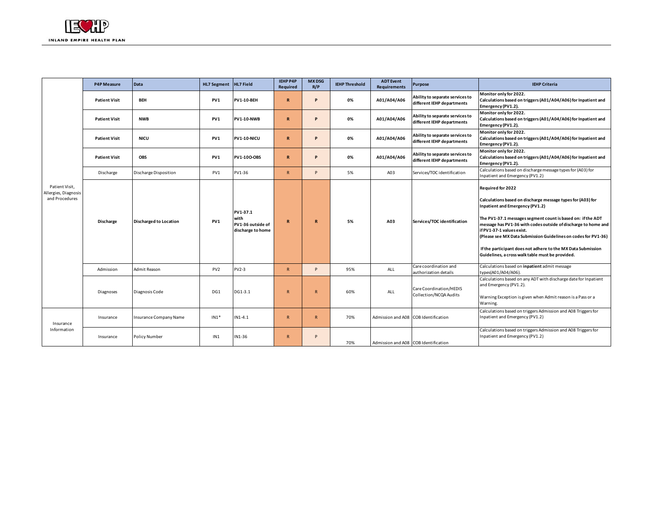|                                                          | <b>P4P Measure</b>   | Data                          | HL7 Segment HL7 Field |                                                            | <b>IEHP P4P</b><br>Required | <b>MX DSG</b><br>R/P | <b>IEHP Threshold</b> | <b>ADT Event</b><br><b>Requirements</b> | Purpose                                                       | <b>IEHP Criteria</b>                                                                                                                                                                                                                                                                                                                                                                                                                                                           |
|----------------------------------------------------------|----------------------|-------------------------------|-----------------------|------------------------------------------------------------|-----------------------------|----------------------|-----------------------|-----------------------------------------|---------------------------------------------------------------|--------------------------------------------------------------------------------------------------------------------------------------------------------------------------------------------------------------------------------------------------------------------------------------------------------------------------------------------------------------------------------------------------------------------------------------------------------------------------------|
|                                                          | <b>Patient Visit</b> | <b>BEH</b>                    | PV1                   | <b>PV1-10-BEH</b>                                          | $\mathbf R$                 | D                    | 0%                    | A01/A04/A06                             | Ability to separate services to<br>different IEHP departments | Monitor only for 2022.<br>Calculations based on triggers (A01/A04/A06) for Inpatient and<br>Emergency (PV1.2).                                                                                                                                                                                                                                                                                                                                                                 |
|                                                          | <b>Patient Visit</b> | <b>NWB</b>                    | PV1                   | <b>PV1-10-NWB</b>                                          | $\mathbf R$                 | D                    | 0%                    | A01/A04/A06                             | Ability to separate services to<br>different IEHP departments | Monitor only for 2022.<br>Calculations based on triggers (A01/A04/A06) for Inpatient and<br>Emergency (PV1.2).                                                                                                                                                                                                                                                                                                                                                                 |
|                                                          | <b>Patient Visit</b> | <b>NICU</b>                   | PV1                   | PV1-10-NICU                                                | $\mathbf R$                 |                      | 0%                    | A01/A04/A06                             | Ability to separate services to<br>different IEHP departments | Monitor only for 2022.<br>Calculations based on triggers (A01/A04/A06) for Inpatient and<br>Emergency (PV1.2).                                                                                                                                                                                                                                                                                                                                                                 |
|                                                          | <b>Patient Visit</b> | <b>OBS</b>                    | PV1                   | <b>PV1-100-OBS</b>                                         | $\mathbb{R}$                | D                    | 0%                    | A01/A04/A06                             | Ability to separate services to<br>different IEHP departments | Monitor only for 2022.<br>Calculations based on triggers (A01/A04/A06) for Inpatient and<br>Emergency (PV1.2).                                                                                                                                                                                                                                                                                                                                                                 |
|                                                          | Discharge            | Discharge Disposition         | PV1                   | PV1-36                                                     | $\mathsf{R}$                | Þ                    | 5%                    | A03                                     | Services/TOC identification                                   | Calculations based on discharge message types for (A03) for<br>Inpatient and Emergency (PV1.2)                                                                                                                                                                                                                                                                                                                                                                                 |
| Patient Visit,<br>Allergies, Diagnosis<br>and Procedures | <b>Discharge</b>     | <b>Discharged to Location</b> | PV1                   | PV1-37.1<br>with<br>PV1-36 outside of<br>discharge to home | $\mathbb{R}$                | R                    | 5%                    | A03                                     | Services/TOC identification                                   | Required for 2022<br>Calculations based on discharge message types for (A03) for<br><b>Inpatient and Emergency (PV1.2)</b><br>The PV1-37.1 messages segment count is based on: if the ADT<br>message has PV1-36 with codes outside of discharge to home and<br>if PV1-37-1 values exist.<br>(Please see MX Data Submission Guidelines on codes for PV1-36)<br>If the participant does not adhere to the MX Data Submission<br>Guidelines, a cross walk table must be provided. |
|                                                          | Admission            | Admit Reason                  | PV <sub>2</sub>       | <b>PV2-3</b>                                               | R                           | P                    | 95%                   | ALL                                     | Care coordination and<br>authorization details                | Calculations based on inpatient admit message<br>types(A01/A04/A06).                                                                                                                                                                                                                                                                                                                                                                                                           |
|                                                          | Diagnoses            | Diagnosis Code                | DG1                   | DG1-3.1                                                    | R                           | R                    | 60%                   | ALL                                     | Care Coordination/HEDIS<br>Collection/NCQA Audits             | Calculations based on any ADT with discharge date for Inpatient<br>and Emergency (PV1.2).<br>Warning Exception is given when Admit reason is a Pass or a<br>Warning.                                                                                                                                                                                                                                                                                                           |
| Insurance                                                | Insurance            | Insurance Company Name        | $IN1*$                | $IN1-4.1$                                                  | $\mathsf{R}$                | R                    | 70%                   | Admission and A08 COB Identification    |                                                               | Calculations based on triggers Admission and A08 Triggers for<br>Inpatient and Emergency (PV1.2)                                                                                                                                                                                                                                                                                                                                                                               |
| Information                                              | Insurance            | <b>Policy Number</b>          | IN1                   | IN1-36                                                     | $\mathsf{R}$                | p                    | 70%                   | Admission and A08 COB Identification    |                                                               | Calculations based on triggers Admission and A08 Triggers for<br>Inpatient and Emergency (PV1.2)                                                                                                                                                                                                                                                                                                                                                                               |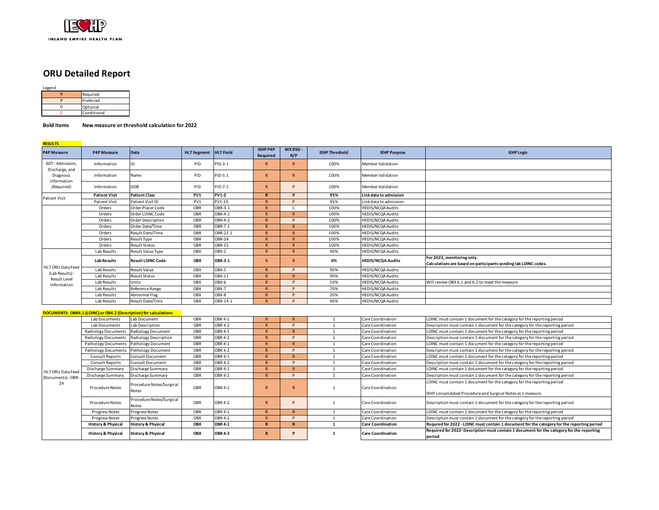

### **ORU Detailed Report**

**RESULTS** 

|  | Required    |  |  |  |  |  |
|--|-------------|--|--|--|--|--|
|  | Preferred   |  |  |  |  |  |
|  | Optional    |  |  |  |  |  |
|  | Conditional |  |  |  |  |  |

#### **Bold Items New measure or threshold calculation for 2022**

| <u>NEJULIJ</u><br><b>P4P Measure</b> | <b>P4P Measure</b>                                                | Data                              | <b>HL7 Segment</b> | HL7 Field      | IEHP P4P<br>Required | MX DSG -<br>R/P | <b>IEHP Threshold</b> | <b>IEHP Purpose</b>      | <b>IEHP Logic</b>                                                                                                                       |
|--------------------------------------|-------------------------------------------------------------------|-----------------------------------|--------------------|----------------|----------------------|-----------------|-----------------------|--------------------------|-----------------------------------------------------------------------------------------------------------------------------------------|
| ADT-Admission,<br>Discharge, and     | Information                                                       | ID                                | PID                | PID-3.1        | $\overline{R}$       | R               | 100%                  | Member Validation        |                                                                                                                                         |
| Diagnosis<br>information             | Information                                                       | Name                              | PID                | PID-5.1        | R                    | R               | 100%                  | Member Validation        |                                                                                                                                         |
| (Required)                           | Information                                                       | DOB                               | PID                | PID-7.1        | $\overline{R}$       | D               | 100%                  | Member Validation        |                                                                                                                                         |
| Patient Visit                        | <b>Patient Visit</b>                                              | <b>Patient Class</b>              | PV1                | <b>PV1-2</b>   | R                    | D               | 95%                   | Link data to admission   |                                                                                                                                         |
|                                      | <b>Patient Visit</b>                                              | Patient Visit ID                  | PV1                | PV1-19         | $\mathsf{R}$         | P               | 95%                   | Link data to admission   |                                                                                                                                         |
|                                      | Orders                                                            | Order Placer Code                 | OBR                | OBR-3.1        | $\mathbb{R}$         | $\mathsf{C}$    | 100%                  | <b>HEDIS/NCQA Audits</b> |                                                                                                                                         |
|                                      | Orders                                                            | Order LOINC Code                  | OBR                | OBR-4.1        | $\mathsf{R}$         | $\mathsf{R}$    | 100%                  | <b>HEDIS/NCQA Audits</b> |                                                                                                                                         |
|                                      | Orders                                                            | Order Description                 | OBR                | OBR-4-2        | $\mathsf{R}$         | P               | 100%                  | HEDIS/NCQA Audits        |                                                                                                                                         |
|                                      | Orders                                                            | Order Date/Time                   | OBR                | OBR-7.1        | $\mathbf{R}$         | $\mathsf{R}$    | 100%                  | HEDIS/NCQA Audits        |                                                                                                                                         |
|                                      | Orders                                                            | Result Date/Time                  | OBR                | OBR-22.1       | $\mathsf{R}$         | $\mathsf{R}$    | 100%                  | <b>HEDIS/NCQA Audits</b> |                                                                                                                                         |
|                                      | Orders                                                            | Result Type                       | OBR                | <b>OBR-24</b>  | $\mathbf{R}$         | $\mathsf{R}$    | 100%                  | <b>HEDIS/NCQA Audits</b> |                                                                                                                                         |
|                                      | Orders                                                            | <b>Result Status</b>              | OBR                | <b>OBR-25</b>  | $\mathsf{R}$         | R               | 100%                  | HEDIS/NCQA Audits        |                                                                                                                                         |
|                                      | Lab Results                                                       | Result Value Type                 | OBX                | $OBX-2$        | $\mathbf R$          | $\mathsf{R}$    | 90%                   | <b>HEDIS/NCQA Audits</b> |                                                                                                                                         |
|                                      | <b>Lab Results</b>                                                | <b>Result LOINC Code</b>          | OBX                | OBX-3.1        | $\mathsf{R}$         | $\mathsf{R}$    | 0%                    | <b>HEDIS/NCQA Audits</b> | For 2022, monitoring only.<br>Calculations are based on participants sending lab LOINC codes.                                           |
| HL7 ORU Data Feed                    | Lab Results                                                       | Result Value                      | OBX                | OBX-5          | $\mathbf R$          | D               | 90%                   | HEDIS/NCQA Audits        |                                                                                                                                         |
| (Lab Results) -                      | Lab Results                                                       | Result Status                     | OBX                | OBX-11         | $\mathsf{R}$         | $\mathsf{R}$    | 90%                   | <b>HEDIS/NCQA Audits</b> |                                                                                                                                         |
| Result Level<br>Information          | Lab Results                                                       | Units                             | OBX                | OBX-6          | $\mathbb{R}$         | D               | 50%                   | HEDIS/NCQA Audits        | Will review OBX 6.1 and 6.2 to meet the measure                                                                                         |
|                                      | Lab Results                                                       | Reference Range                   | OBX                | $OBX-7$        | $\mathsf{R}$         | D               | 70%                   | HEDIS/NCQA Audits        |                                                                                                                                         |
|                                      | Lab Results                                                       | Abnormal Flag                     | OBX                | OBX-8          | $\mathsf{R}$         | P               | 20%                   | HEDIS/NCQA Audits        |                                                                                                                                         |
|                                      | Lab Results                                                       | Result Date/Time                  | OBX                | OBX-14.1       | $\mathsf{R}$         | D               | 90%                   | HEDIS/NCQA Audits        |                                                                                                                                         |
|                                      | DOCUMENTS: OBR4.1 (LOINC) or OB4.2 (Description) for calculations |                                   |                    |                |                      |                 |                       |                          |                                                                                                                                         |
|                                      | Lab Documents                                                     | Lab Document                      | OBR                | <b>OBR 4-1</b> | $\mathsf{R}$         | $\mathsf{R}$    | <sup>1</sup>          | Care Coordination        | LOINC must contain 1 document for the category for the reporting period                                                                 |
|                                      | Lab Documents                                                     | Lab Description                   | OBR                | OBR 4-2        | $\mathbb{R}$         | P               | <sup>1</sup>          | Care Coordination        | Description must contain 1 document for the category for the reporting period                                                           |
|                                      | <b>Radiology Documents</b>                                        | <b>Radiology Document</b>         | OBR                | OBR 4-1        | $\mathbf R$          | $\mathsf{R}$    | $\mathbf{1}$          | Care Coordination        | LOINC must contain 1 document for the category for the reporting period                                                                 |
|                                      | <b>Radiology Documents</b>                                        | Radiology Description             | OBR                | OBR 4-2        | $\mathbf R$          | P               | <sup>1</sup>          | Care Coordination        | Description must contain 1 document for the category for the reporting period                                                           |
|                                      | <b>Pathology Documents</b>                                        | <b>Pathology Document</b>         | OBR                | <b>OBR 4-1</b> | $\mathbb{R}$         | $\mathsf{R}$    | $\mathbf{1}$          | Care Coordination        | LOINC must contain 1 document for the category for the reporting period                                                                 |
|                                      | Pathology Documents                                               | <b>Pathology Document</b>         | OBR                | <b>OBR 4-2</b> | $\overline{R}$       | D               | <sup>1</sup>          | Care Coordination        | Description must contain 1 document for the category for the reporting period                                                           |
|                                      | <b>Consult Reports</b>                                            | Consult Document                  | OBR                | OBR 4-1        | $\mathbb{R}$         | $\mathsf{R}$    | <sup>1</sup>          | Care Coordination        | LOINC must contain 1 document for the category for the reporting period                                                                 |
|                                      | Consult Reports                                                   | Consult Document                  | OBR                | <b>OBR 4-2</b> | $\overline{R}$       | D               | $\mathbf{1}$          | Care Coordination        | Description must contain 1 document for the category for the reporting period                                                           |
| HL7 ORU Data Feed                    | Discharge Summary                                                 | Discharge Summary                 | OBR                | <b>OBR 4-1</b> | $\mathbb{R}$         | R               | 1                     | Care Coordination        | LOINC must contain 1 document for the category for the reporting period                                                                 |
| (Documents) - OBR                    | Discharge Summary                                                 | Discharge Summary                 | OBR                | OBR 4-2        | $\overline{R}$       | $\mathbf{D}$    | $\mathbf{1}$          | Care Coordination        | Description must contain 1 document for the category for the reporting period                                                           |
| 24                                   | Procedure Notes                                                   | Procedure Notes/Surgical<br>Notes | OBR                | OBR 4-1        | $\overline{R}$       | $\mathsf{R}$    | 1                     | Care Coordination        | LOINC must contain 1 document for the category for the reporting period<br>IEHP consolidated Procedure and Surgical Notes as 1 measure. |
|                                      | Procedure Notes                                                   | Procedure Notes/Surgical<br>Notes | OBR                | OBR 4-2        | $\mathsf{R}$         | P               | 1                     | Care Coordination        | Description must contain 1 document for the category for the reporting period                                                           |
|                                      | Progress Notes                                                    | Progress Notes                    | OBR                | OBR 4-1        | $\mathsf{R}$         | $\mathsf{R}$    | 1                     | Care Coordination        | LOINC must contain 1 document for the category for the reporting period                                                                 |

Progress Notes Progress Notes OBR OBR 4-2 R P 1 Care Coordination Description must contain 1 document for the category for the reporting period History & Physical History & Physical OBX OBR4-1 R R R Care Coordination Requred for 2022 - LOINC must contain 1 document for the category for the reporting period History & Physical History & Physical OBK OBR4-2 R P 2 1 Care Coordination Required for 2022-Description must contain 1 document for the category for the reporting

**period**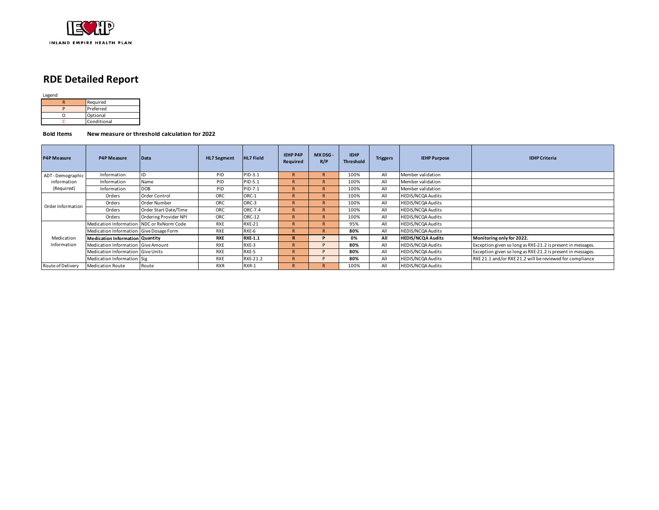

# **RDE Detailed Report**

Legend

|    | Required    |
|----|-------------|
|    | Preferred   |
| וז | Optional    |
|    | Conditional |

**Bold Items New measure or threshold calculation for 2022**

| <b>P4P Measure</b> | <b>P4P Measure</b>                      | Data                  | <b>HL7 Segment</b> | <b>HL7 Field</b> | <b>IEHP P4P</b><br>Required | MX DSG -<br>R/P | <b>IEHP</b><br><b>Threshold</b> | <b>Triggers</b> | <b>IEHP Purpose</b>      | <b>IEHP Criteria</b>                                        |
|--------------------|-----------------------------------------|-----------------------|--------------------|------------------|-----------------------------|-----------------|---------------------------------|-----------------|--------------------------|-------------------------------------------------------------|
| ADT-Demographic    | Information                             |                       | PID                | PID-3.1          | R                           |                 | 100%                            | All             | Member validation        |                                                             |
| information        | Information                             | Name                  | PID                | PID-5.1          |                             |                 | 100%                            | All             | Member validation        |                                                             |
| (Required)         | Information                             | <b>DOB</b>            | PID                | PID-7.1          | R                           |                 | 100%                            | All             | Member validation        |                                                             |
|                    | Orders                                  | Order Control         | ORC                | ORC-1            |                             |                 | 100%                            | All             | HEDIS/NCQA Audits        |                                                             |
| Order Information  | Orders                                  | Order Number          | ORC                | ORC-3            | R                           |                 | 100%                            | All             | HEDIS/NCQA Audits        |                                                             |
|                    | Orders                                  | Order Start Date/Time | ORC                | ORC-7.4          |                             |                 | 100%                            | All             | HEDIS/NCQA Audits        |                                                             |
|                    | Orders                                  | Ordering Provider NPI | ORC                | ORC-12           |                             |                 | 100%                            | All             | HEDIS/NCQA Audits        |                                                             |
|                    | Medication Information                  | NDC or RxNorm Code    | <b>RXE</b>         | <b>RXE-21</b>    |                             |                 | 95%                             | All             | HEDIS/NCQA Audits        |                                                             |
|                    | Medication Information Give Dosage Form |                       | <b>RXE</b>         | RXE-6            | R                           |                 | 80%                             | All             | HEDIS/NCQA Audits        |                                                             |
| Medication         | <b>Medication Information Quantity</b>  |                       | <b>RXE</b>         | <b>RXE-1.1</b>   | R                           |                 | 0%                              | All             | <b>HEDIS/NCQA Audits</b> | Monitoring only for 2022.                                   |
| Information        | Medication Information Give Amount      |                       | RXE                | RXE-3            | R                           |                 | 80%                             | All             | HEDIS/NCQA Audits        | Exception given so long as RXE-21.2 is present in messages. |
|                    | Medication Information Give Units       |                       | <b>RXE</b>         | RXE-5            | R                           |                 | 80%                             | All             | HEDIS/NCQA Audits        | Exception given so long as RXE-21.2 is present in messages. |
|                    | Medication Information Sig              |                       | <b>RXE</b>         | RXE-21.2         |                             |                 | 80%                             | All             | <b>HEDIS/NCQA Audits</b> | RXE 21.1 and/or RXE 21.2 will be reviewed for compliance    |
| Route of Delivery  | <b>Medication Route</b>                 | Route                 | <b>RXR</b>         | RXR-1            |                             |                 | 100%                            | All             | <b>HEDIS/NCOA Audits</b> |                                                             |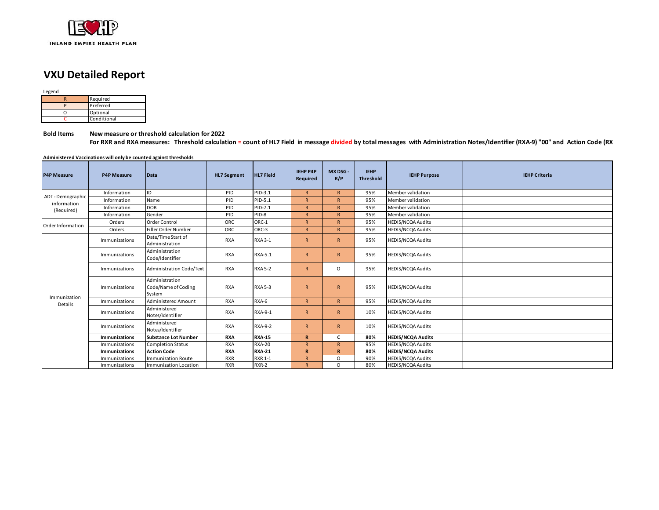

### **VXU Detailed Report**

Legend

|  | Required    |  |  |  |  |  |
|--|-------------|--|--|--|--|--|
|  | Preferred   |  |  |  |  |  |
|  | Optional    |  |  |  |  |  |
|  | Conditional |  |  |  |  |  |

**Bold Items New measure or threshold calculation for 2022**

For RXR and RXA measures: Threshold calculation = count of HL7 Field in message divided by total messages with Administration Notes/Identifier (RXA-9) "00" and Action Code (RX

**Administered Vaccinations will only be counted against thresholds**

| <b>P4P Measure</b>      | <b>P4P Measure</b>   | Data                                            | <b>HL7 Segment</b> | <b>HL7 Field</b> | <b>IEHP P4P</b><br>Required | MX DSG -<br>R/P | <b>IEHP</b><br><b>Threshold</b> | <b>IEHP Purpose</b>      | <b>IEHP Criteria</b> |
|-------------------------|----------------------|-------------------------------------------------|--------------------|------------------|-----------------------------|-----------------|---------------------------------|--------------------------|----------------------|
| ADT-Demographic         | Information          | ID                                              | PID                | PID-3.1          | R                           | $\mathsf{R}$    | 95%                             | Member validation        |                      |
| information             | Information          | Name                                            | PID                | PID-5.1          | $\mathsf{R}$                | $\mathsf{R}$    | 95%                             | Member validation        |                      |
| (Required)              | Information          | <b>DOB</b>                                      | PID                | PID-7.1          | R                           | $\mathsf{R}$    | 95%                             | Member validation        |                      |
|                         | Information          | Gender                                          | PID                | PID-8            | $\mathsf{R}$                | $\mathsf{R}$    | 95%                             | Member validation        |                      |
| Order Information       | Orders               | Order Control                                   | <b>ORC</b>         | ORC-1            | $\mathsf{R}$                | $\mathsf{R}$    | 95%                             | <b>HEDIS/NCQA Audits</b> |                      |
|                         | Orders               | Filler Order Number                             | ORC                | ORC-3            | R                           | $\mathsf{R}$    | 95%                             | <b>HEDIS/NCQA Audits</b> |                      |
|                         | Immunizations        | Date/Time Start of<br>Administration            | <b>RXA</b>         | <b>RXA 3-1</b>   | $\overline{R}$              | $\mathsf{R}$    | 95%                             | <b>HEDIS/NCQA Audits</b> |                      |
|                         | Immunizations        | Administration<br>Code/Identifier               | <b>RXA</b>         | RXA-5.1          | $\mathsf{R}$                | $\mathsf{R}$    | 95%                             | <b>HEDIS/NCQA Audits</b> |                      |
|                         | Immunizations        | Administration Code/Text                        | <b>RXA</b>         | <b>RXA 5-2</b>   | $\overline{R}$              | $\circ$         | 95%                             | <b>HEDIS/NCQA Audits</b> |                      |
|                         | Immunizations        | Administration<br>Code/Name of Coding<br>System | <b>RXA</b>         | <b>RXA 5-3</b>   | $\overline{R}$              | $\mathsf{R}$    | 95%                             | <b>HEDIS/NCQA Audits</b> |                      |
| Immunization<br>Details | Immunizations        | Administered Amount                             | <b>RXA</b>         | RXA-6            | R                           | R               | 95%                             | <b>HEDIS/NCQA Audits</b> |                      |
|                         | Immunizations        | Administered<br>Notes/Identifier                | <b>RXA</b>         | RXA-9-1          | $\overline{R}$              | $\mathsf{R}$    | 10%                             | <b>HEDIS/NCQA Audits</b> |                      |
|                         | Immunizations        | Administered<br>Notes/Identifier                | <b>RXA</b>         | <b>RXA-9-2</b>   | $\overline{R}$              | $\mathsf{R}$    | 10%                             | <b>HEDIS/NCQA Audits</b> |                      |
|                         | Immunizations        | <b>Substance Lot Number</b>                     | <b>RXA</b>         | <b>RXA-15</b>    | $\mathbf R$                 | c               | 80%                             | <b>HEDIS/NCQA Audits</b> |                      |
|                         | Immunizations        | <b>Completion Status</b>                        | <b>RXA</b>         | <b>RXA-20</b>    | $\mathsf{R}$                | $\mathsf{R}$    | 95%                             | <b>HEDIS/NCQA Audits</b> |                      |
|                         | <b>Immunizations</b> | <b>Action Code</b>                              | <b>RXA</b>         | <b>RXA-21</b>    | $\mathbf R$                 | R               | 80%                             | <b>HEDIS/NCQA Audits</b> |                      |
|                         | Immunizations        | <b>Immunization Route</b>                       | <b>RXR</b>         | <b>RXR 1-1</b>   | $\overline{R}$              | $\Omega$        | 90%                             | <b>HEDIS/NCQA Audits</b> |                      |
|                         | Immunizations        | Immunization Location                           | <b>RXR</b>         | RXR-2            | $\mathsf{R}$                | $\Omega$        | 80%                             | <b>HEDIS/NCQA Audits</b> |                      |